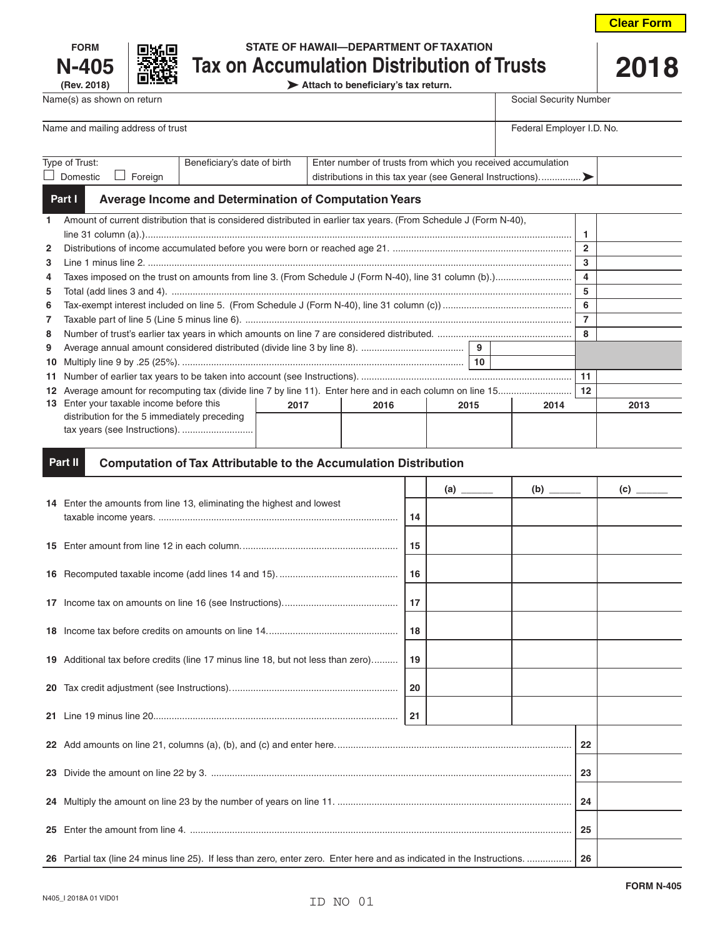| <b>FORM</b>                    |
|--------------------------------|
| N-405                          |
| $(D_{01}, \Omega_{01} \cap D)$ |



# **FORMAL STATE OF HAWAII—DEPARTMENT OF TAXATION N-405**  $\frac{1}{2018}$  **Tax on Accumulation Distribution of Trusts** 2018<br>Attach to beneficiary's tax return.

**(Rev. 2018) Attach to beneficiary's tax return.**

| Name and mailing address of trust | Federal Employer I.D. No.   |                                                             |  |  |  |  |
|-----------------------------------|-----------------------------|-------------------------------------------------------------|--|--|--|--|
|                                   |                             |                                                             |  |  |  |  |
|                                   |                             |                                                             |  |  |  |  |
|                                   |                             |                                                             |  |  |  |  |
| Type of Trust:                    | Beneficiary's date of birth | Enter number of trusts from which you received accumulation |  |  |  |  |
| Domestic<br>Foreian               |                             |                                                             |  |  |  |  |
|                                   |                             |                                                             |  |  |  |  |

Name(s) as shown on return state of the state of the state of the state of the Social Security Number

#### **Average Income and Determination of Computation Years Part I**

| $\mathbf{1}$   | Amount of current distribution that is considered distributed in earlier tax years. (From Schedule J (Form N-40), |      |      |      |  |      |              |      |
|----------------|-------------------------------------------------------------------------------------------------------------------|------|------|------|--|------|--------------|------|
|                |                                                                                                                   |      |      |      |  |      |              |      |
| $\mathbf{2}$   |                                                                                                                   |      |      |      |  |      | $\mathbf{2}$ |      |
| 3              |                                                                                                                   |      |      |      |  |      | 3            |      |
| 4              |                                                                                                                   |      |      |      |  |      |              |      |
| 5              |                                                                                                                   |      |      |      |  |      | 5            |      |
| 6              |                                                                                                                   |      |      |      |  |      | 6            |      |
| $\overline{7}$ |                                                                                                                   |      |      |      |  |      | 7            |      |
| 8              |                                                                                                                   |      |      |      |  |      |              |      |
| 9              | 9                                                                                                                 |      |      |      |  |      |              |      |
|                | 10                                                                                                                |      |      |      |  |      |              |      |
|                |                                                                                                                   |      |      |      |  |      | 11           |      |
|                |                                                                                                                   |      |      |      |  | 12   |              |      |
|                | 13 Enter your taxable income before this                                                                          | 2017 | 2016 | 2015 |  | 2014 |              | 2013 |
|                | distribution for the 5 immediately preceding                                                                      |      |      |      |  |      |              |      |
|                | tax years (see Instructions).                                                                                     |      |      |      |  |      |              |      |
|                |                                                                                                                   |      |      |      |  |      |              |      |

#### **Computation of Tax Attributable to the Accumulation Distribution Part II**

|     |                                                                                                                         |     |  |  |  | $\overline{c}$ $\overline{\phantom{a}a}$ |
|-----|-------------------------------------------------------------------------------------------------------------------------|-----|--|--|--|------------------------------------------|
|     | 14 Enter the amounts from line 13, eliminating the highest and lowest                                                   | 14  |  |  |  |                                          |
|     |                                                                                                                         | 15  |  |  |  |                                          |
|     |                                                                                                                         | 16  |  |  |  |                                          |
|     |                                                                                                                         | 17  |  |  |  |                                          |
|     |                                                                                                                         | 18  |  |  |  |                                          |
|     | 19 Additional tax before credits (line 17 minus line 18, but not less than zero)                                        | 19  |  |  |  |                                          |
| 20  |                                                                                                                         | -20 |  |  |  |                                          |
|     |                                                                                                                         | 21  |  |  |  |                                          |
|     |                                                                                                                         |     |  |  |  |                                          |
|     |                                                                                                                         |     |  |  |  |                                          |
|     |                                                                                                                         |     |  |  |  |                                          |
| 25. |                                                                                                                         |     |  |  |  |                                          |
|     | 26 Partial tax (line 24 minus line 25). If less than zero, enter zero. Enter here and as indicated in the Instructions. |     |  |  |  |                                          |